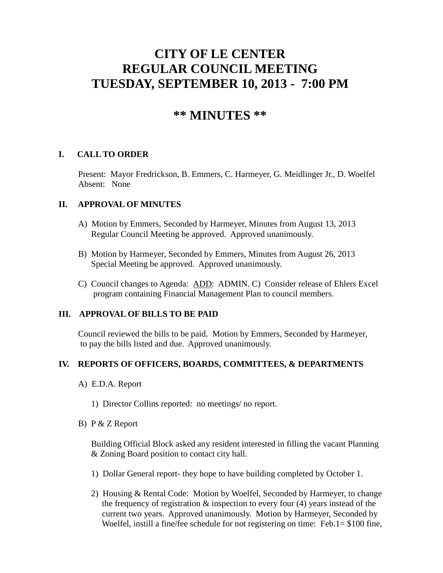# **CITY OF LE CENTER REGULAR COUNCIL MEETING TUESDAY, SEPTEMBER 10, 2013 - 7:00 PM**

## **\*\* MINUTES \*\***

#### **I. CALL TO ORDER**

Present: Mayor Fredrickson, B. Emmers, C. Harmeyer, G. Meidlinger Jr., D. Woelfel Absent: None

#### **II. APPROVAL OF MINUTES**

- A) Motion by Emmers, Seconded by Harmeyer, Minutes from August 13, 2013 Regular Council Meeting be approved. Approved unanimously.
- B) Motion by Harmeyer, Seconded by Emmers, Minutes from August 26, 2013 Special Meeting be approved. Approved unanimously.
- C) Council changes to Agenda: ADD: ADMIN. C) Consider release of Ehlers Excel program containing Financial Management Plan to council members.

#### **III. APPROVAL OF BILLS TO BE PAID**

Council reviewed the bills to be paid. Motion by Emmers, Seconded by Harmeyer, to pay the bills listed and due. Approved unanimously.

#### **IV. REPORTS OF OFFICERS, BOARDS, COMMITTEES, & DEPARTMENTS**

- A) E.D.A. Report
	- 1) Director Collins reported: no meetings/ no report.
- B) P & Z Report

 Building Official Block asked any resident interested in filling the vacant Planning & Zoning Board position to contact city hall.

- 1) Dollar General report- they hope to have building completed by October 1.
- 2) Housing & Rental Code: Motion by Woelfel, Seconded by Harmeyer, to change the frequency of registration  $\&$  inspection to every four (4) years instead of the current two years. Approved unanimously. Motion by Harmeyer, Seconded by Woelfel, instill a fine/fee schedule for not registering on time: Feb.1= \$100 fine,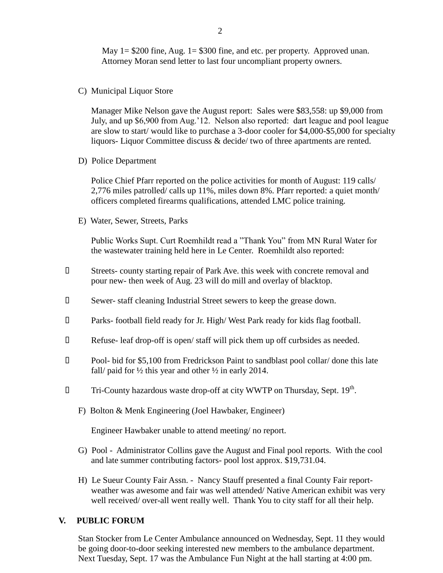May  $1 = $200$  fine, Aug.  $1 = $300$  fine, and etc. per property. Approved unan. Attorney Moran send letter to last four uncompliant property owners.

C) Municipal Liquor Store

Manager Mike Nelson gave the August report: Sales were \$83,558: up \$9,000 from July, and up \$6,900 from Aug.'12. Nelson also reported: dart league and pool league are slow to start/ would like to purchase a 3-door cooler for \$4,000-\$5,000 for specialty liquors- Liquor Committee discuss & decide/ two of three apartments are rented.

D) Police Department

Police Chief Pfarr reported on the police activities for month of August: 119 calls/ 2,776 miles patrolled/ calls up 11%, miles down 8%. Pfarr reported: a quiet month/ officers completed firearms qualifications, attended LMC police training.

E) Water, Sewer, Streets, Parks

 Public Works Supt. Curt Roemhildt read a "Thank You" from MN Rural Water for the wastewater training held here in Le Center. Roemhildt also reported:

- Streets- county starting repair of Park Ave. this week with concrete removal and pour new- then week of Aug. 23 will do mill and overlay of blacktop.
- Sewer- staff cleaning Industrial Street sewers to keep the grease down.
- Parks- football field ready for Jr. High/ West Park ready for kids flag football.
- Refuse- leaf drop-off is open/ staff will pick them up off curbsides as needed.
- Pool- bid for \$5,100 from Fredrickson Paint to sandblast pool collar/ done this late fall/ paid for  $\frac{1}{2}$  this year and other  $\frac{1}{2}$  in early 2014.
- $\Box$  Tri-County hazardous waste drop-off at city WWTP on Thursday, Sept. 19<sup>th</sup>.
	- F) Bolton & Menk Engineering (Joel Hawbaker, Engineer)

Engineer Hawbaker unable to attend meeting/ no report.

- G) Pool Administrator Collins gave the August and Final pool reports. With the cool and late summer contributing factors- pool lost approx. \$19,731.04.
- H) Le Sueur County Fair Assn. Nancy Stauff presented a final County Fair report weather was awesome and fair was well attended/ Native American exhibit was very well received/ over-all went really well. Thank You to city staff for all their help.

#### **V. PUBLIC FORUM**

 Stan Stocker from Le Center Ambulance announced on Wednesday, Sept. 11 they would be going door-to-door seeking interested new members to the ambulance department. Next Tuesday, Sept. 17 was the Ambulance Fun Night at the hall starting at 4:00 pm.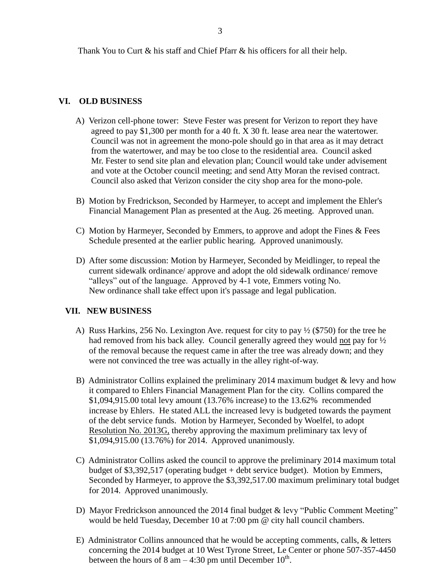Thank You to Curt & his staff and Chief Pfarr & his officers for all their help.

#### **VI. OLD BUSINESS**

- A) Verizon cell-phone tower: Steve Fester was present for Verizon to report they have agreed to pay \$1,300 per month for a 40 ft. X 30 ft. lease area near the watertower. Council was not in agreement the mono-pole should go in that area as it may detract from the watertower, and may be too close to the residential area. Council asked Mr. Fester to send site plan and elevation plan; Council would take under advisement and vote at the October council meeting; and send Atty Moran the revised contract. Council also asked that Verizon consider the city shop area for the mono-pole.
- B) Motion by Fredrickson, Seconded by Harmeyer, to accept and implement the Ehler's Financial Management Plan as presented at the Aug. 26 meeting. Approved unan.
- C) Motion by Harmeyer, Seconded by Emmers, to approve and adopt the Fines & Fees Schedule presented at the earlier public hearing. Approved unanimously.
- D) After some discussion: Motion by Harmeyer, Seconded by Meidlinger, to repeal the current sidewalk ordinance/ approve and adopt the old sidewalk ordinance/ remove "alleys" out of the language. Approved by 4-1 vote, Emmers voting No. New ordinance shall take effect upon it's passage and legal publication.

### **VII. NEW BUSINESS**

- A) Russ Harkins, 256 No. Lexington Ave. request for city to pay ½ (\$750) for the tree he had removed from his back alley. Council generally agreed they would not pay for ½ of the removal because the request came in after the tree was already down; and they were not convinced the tree was actually in the alley right-of-way.
- B) Administrator Collins explained the preliminary 2014 maximum budget & levy and how it compared to Ehlers Financial Management Plan for the city. Collins compared the \$1,094,915.00 total levy amount (13.76% increase) to the 13.62% recommended increase by Ehlers. He stated ALL the increased levy is budgeted towards the payment of the debt service funds. Motion by Harmeyer, Seconded by Woelfel, to adopt Resolution No. 2013G, thereby approving the maximum preliminary tax levy of \$1,094,915.00 (13.76%) for 2014. Approved unanimously.
- C) Administrator Collins asked the council to approve the preliminary 2014 maximum total budget of \$3,392,517 (operating budget + debt service budget). Motion by Emmers, Seconded by Harmeyer, to approve the \$3,392,517.00 maximum preliminary total budget for 2014. Approved unanimously.
- D) Mayor Fredrickson announced the 2014 final budget & levy "Public Comment Meeting" would be held Tuesday, December 10 at 7:00 pm @ city hall council chambers.
- E) Administrator Collins announced that he would be accepting comments, calls, & letters concerning the 2014 budget at 10 West Tyrone Street, Le Center or phone 507-357-4450 between the hours of  $8 \text{ am} - 4:30 \text{ pm}$  until December  $10^{\text{th}}$ .